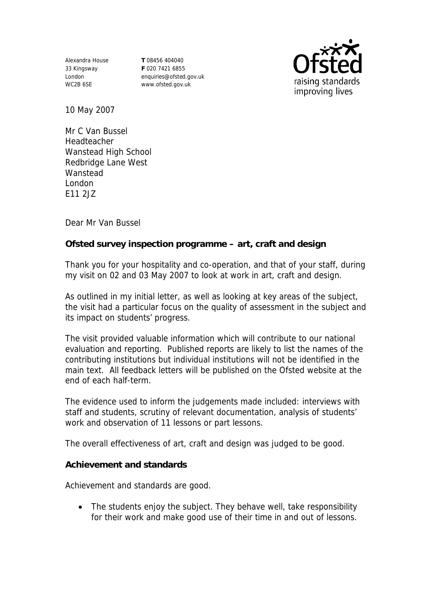Alexandra House 33 Kingsway London WC2B 6SE

**T** 08456 404040 **F** 020 7421 6855 enquiries@ofsted.gov.uk www.ofsted.gov.uk



10 May 2007

Mr C Van Bussel Headteacher Wanstead High School Redbridge Lane West **Wanstead** London E11 2JZ

Dear Mr Van Bussel

**Ofsted survey inspection programme – art, craft and design** 

Thank you for your hospitality and co-operation, and that of your staff, during my visit on 02 and 03 May 2007 to look at work in art, craft and design.

As outlined in my initial letter, as well as looking at key areas of the subject, the visit had a particular focus on the quality of assessment in the subject and its impact on students' progress.

The visit provided valuable information which will contribute to our national evaluation and reporting. Published reports are likely to list the names of the contributing institutions but individual institutions will not be identified in the main text. All feedback letters will be published on the Ofsted website at the end of each half-term.

The evidence used to inform the judgements made included: interviews with staff and students, scrutiny of relevant documentation, analysis of students' work and observation of 11 lessons or part lessons.

The overall effectiveness of art, craft and design was judged to be good.

**Achievement and standards** 

Achievement and standards are good.

• The students enjoy the subject. They behave well, take responsibility for their work and make good use of their time in and out of lessons.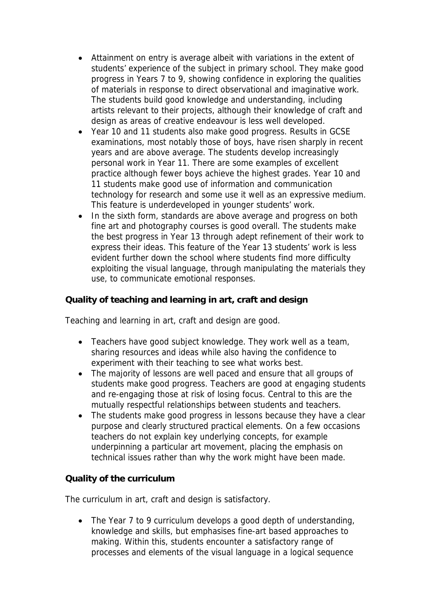- Attainment on entry is average albeit with variations in the extent of students' experience of the subject in primary school. They make good progress in Years 7 to 9, showing confidence in exploring the qualities of materials in response to direct observational and imaginative work. The students build good knowledge and understanding, including artists relevant to their projects, although their knowledge of craft and design as areas of creative endeavour is less well developed.
- Year 10 and 11 students also make good progress. Results in GCSE examinations, most notably those of boys, have risen sharply in recent years and are above average. The students develop increasingly personal work in Year 11. There are some examples of excellent practice although fewer boys achieve the highest grades. Year 10 and 11 students make good use of information and communication technology for research and some use it well as an expressive medium. This feature is underdeveloped in younger students' work.
- In the sixth form, standards are above average and progress on both fine art and photography courses is good overall. The students make the best progress in Year 13 through adept refinement of their work to express their ideas. This feature of the Year 13 students' work is less evident further down the school where students find more difficulty exploiting the visual language, through manipulating the materials they use, to communicate emotional responses.

**Quality of teaching and learning in art, craft and design**

Teaching and learning in art, craft and design are good.

- Teachers have good subject knowledge. They work well as a team, sharing resources and ideas while also having the confidence to experiment with their teaching to see what works best.
- The majority of lessons are well paced and ensure that all groups of students make good progress. Teachers are good at engaging students and re-engaging those at risk of losing focus. Central to this are the mutually respectful relationships between students and teachers.
- The students make good progress in lessons because they have a clear purpose and clearly structured practical elements. On a few occasions teachers do not explain key underlying concepts, for example underpinning a particular art movement, placing the emphasis on technical issues rather than why the work might have been made.

**Quality of the curriculum** 

The curriculum in art, craft and design is satisfactory.

• The Year 7 to 9 curriculum develops a good depth of understanding, knowledge and skills, but emphasises fine-art based approaches to making. Within this, students encounter a satisfactory range of processes and elements of the visual language in a logical sequence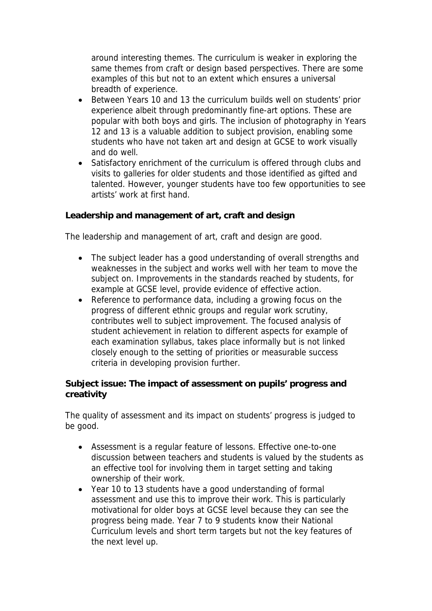around interesting themes. The curriculum is weaker in exploring the same themes from craft or design based perspectives. There are some examples of this but not to an extent which ensures a universal breadth of experience.

- Between Years 10 and 13 the curriculum builds well on students' prior experience albeit through predominantly fine-art options. These are popular with both boys and girls. The inclusion of photography in Years 12 and 13 is a valuable addition to subject provision, enabling some students who have not taken art and design at GCSE to work visually and do well.
- Satisfactory enrichment of the curriculum is offered through clubs and visits to galleries for older students and those identified as gifted and talented. However, younger students have too few opportunities to see artists' work at first hand.

**Leadership and management of art, craft and design**

The leadership and management of art, craft and design are good.

- The subject leader has a good understanding of overall strengths and weaknesses in the subject and works well with her team to move the subject on. Improvements in the standards reached by students, for example at GCSE level, provide evidence of effective action.
- Reference to performance data, including a growing focus on the progress of different ethnic groups and regular work scrutiny, contributes well to subject improvement. The focused analysis of student achievement in relation to different aspects for example of each examination syllabus, takes place informally but is not linked closely enough to the setting of priorities or measurable success criteria in developing provision further.

**Subject issue: The impact of assessment on pupils' progress and creativity**

The quality of assessment and its impact on students' progress is judged to be good.

- Assessment is a regular feature of lessons. Effective one-to-one discussion between teachers and students is valued by the students as an effective tool for involving them in target setting and taking ownership of their work.
- Year 10 to 13 students have a good understanding of formal assessment and use this to improve their work. This is particularly motivational for older boys at GCSE level because they can see the progress being made. Year 7 to 9 students know their National Curriculum levels and short term targets but not the key features of the next level up.